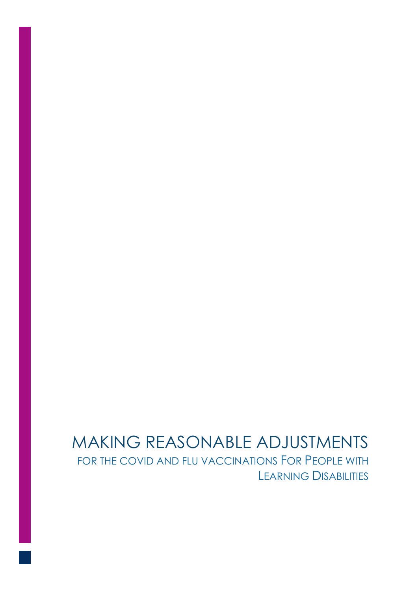# MAKING REASONABLE ADJUSTMENTS FOR THE COVID AND FLU VACCINATIONS FOR PEOPLE WITH LEARNING DISABILITIES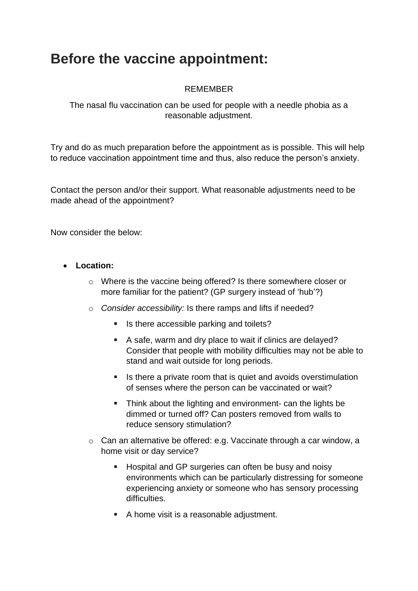## **Before the vaccine appointment:**

### REMEMBER

The nasal flu vaccination can be used for people with a needle phobia as a reasonable adjustment.

Try and do as much preparation before the appointment as is possible. This will help to reduce vaccination appointment time and thus, also reduce the person's anxiety.

Contact the person and/or their support. What reasonable adjustments need to be made ahead of the appointment?

Now consider the below:

- **Location:**
	- o Where is the vaccine being offered? Is there somewhere closer or more familiar for the patient? (GP surgery instead of 'hub'?)
	- o *Consider accessibility:* Is there ramps and lifts if needed?
		- Is there accessible parking and toilets?
		- A safe, warm and dry place to wait if clinics are delayed? Consider that people with mobility difficulties may not be able to stand and wait outside for long periods.
		- Is there a private room that is quiet and avoids overstimulation of senses where the person can be vaccinated or wait?
		- Think about the lighting and environment- can the lights be dimmed or turned off? Can posters removed from walls to reduce sensory stimulation?
	- o Can an alternative be offered: e.g. Vaccinate through a car window, a home visit or day service?
		- Hospital and GP surgeries can often be busy and noisy environments which can be particularly distressing for someone experiencing anxiety or someone who has sensory processing difficulties.
		- A home visit is a reasonable adjustment.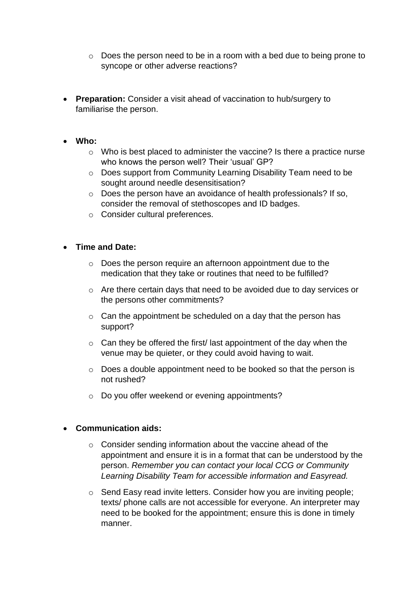- o Does the person need to be in a room with a bed due to being prone to syncope or other adverse reactions?
- **Preparation:** Consider a visit ahead of vaccination to hub/surgery to familiarise the person.
- **Who:**
	- o Who is best placed to administer the vaccine? Is there a practice nurse who knows the person well? Their 'usual' GP?
	- o Does support from Community Learning Disability Team need to be sought around needle desensitisation?
	- o Does the person have an avoidance of health professionals? If so, consider the removal of stethoscopes and ID badges.
	- o Consider cultural preferences.

#### • **Time and Date:**

- o Does the person require an afternoon appointment due to the medication that they take or routines that need to be fulfilled?
- o Are there certain days that need to be avoided due to day services or the persons other commitments?
- $\circ$  Can the appointment be scheduled on a day that the person has support?
- $\circ$  Can they be offered the first/last appointment of the day when the venue may be quieter, or they could avoid having to wait.
- o Does a double appointment need to be booked so that the person is not rushed?
- o Do you offer weekend or evening appointments?

#### • **Communication aids:**

- o Consider sending information about the vaccine ahead of the appointment and ensure it is in a format that can be understood by the person. *Remember you can contact your local CCG or Community Learning Disability Team for accessible information and Easyread.*
- o Send Easy read invite letters. Consider how you are inviting people; texts/ phone calls are not accessible for everyone. An interpreter may need to be booked for the appointment; ensure this is done in timely manner.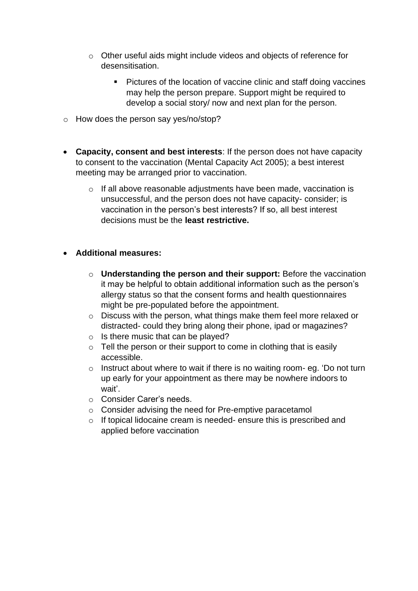- o Other useful aids might include videos and objects of reference for desensitisation.
	- Pictures of the location of vaccine clinic and staff doing vaccines may help the person prepare. Support might be required to develop a social story/ now and next plan for the person.
- o How does the person say yes/no/stop?
- **Capacity, consent and best interests**: If the person does not have capacity to consent to the vaccination (Mental Capacity Act 2005); a best interest meeting may be arranged prior to vaccination.
	- o If all above reasonable adjustments have been made, vaccination is unsuccessful, and the person does not have capacity- consider; is vaccination in the person's best interests? If so, all best interest decisions must be the **least restrictive.**

#### • **Additional measures:**

- o **Understanding the person and their support:** Before the vaccination it may be helpful to obtain additional information such as the person's allergy status so that the consent forms and health questionnaires might be pre-populated before the appointment.
- o Discuss with the person, what things make them feel more relaxed or distracted- could they bring along their phone, ipad or magazines?
- $\circ$  Is there music that can be played?
- $\circ$  Tell the person or their support to come in clothing that is easily accessible.
- $\circ$  Instruct about where to wait if there is no waiting room- eg. 'Do not turn up early for your appointment as there may be nowhere indoors to wait'.
- o Consider Carer's needs.
- o Consider advising the need for Pre-emptive paracetamol
- o If topical lidocaine cream is needed- ensure this is prescribed and applied before vaccination